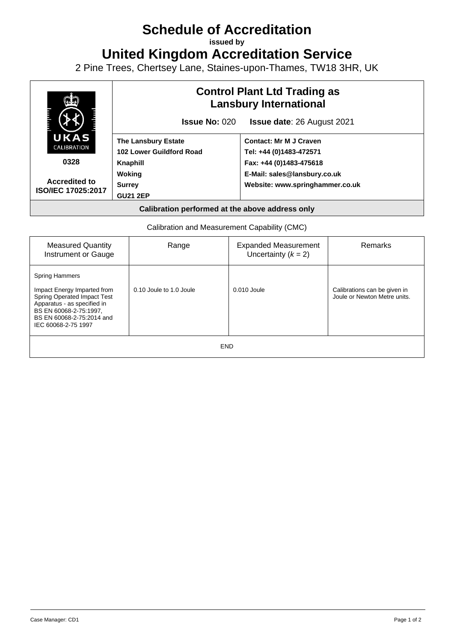# **Schedule of Accreditation**

**issued by**

**United Kingdom Accreditation Service**

2 Pine Trees, Chertsey Lane, Staines-upon-Thames, TW18 3HR, UK



Calibration and Measurement Capability (CMC)

| <b>Measured Quantity</b><br>Instrument or Gauge                                                                                                                                                         | Range                   | <b>Expanded Measurement</b><br>Uncertainty $(k = 2)$ | <b>Remarks</b>                                               |
|---------------------------------------------------------------------------------------------------------------------------------------------------------------------------------------------------------|-------------------------|------------------------------------------------------|--------------------------------------------------------------|
| <b>Spring Hammers</b><br>Impact Energy Imparted from<br><b>Spring Operated Impact Test</b><br>Apparatus - as specified in<br>BS EN 60068-2-75:1997.<br>BS EN 60068-2-75:2014 and<br>IEC 60068-2-75 1997 | 0.10 Joule to 1.0 Joule | $0.010$ Joule                                        | Calibrations can be given in<br>Joule or Newton Metre units. |
| <b>END</b>                                                                                                                                                                                              |                         |                                                      |                                                              |